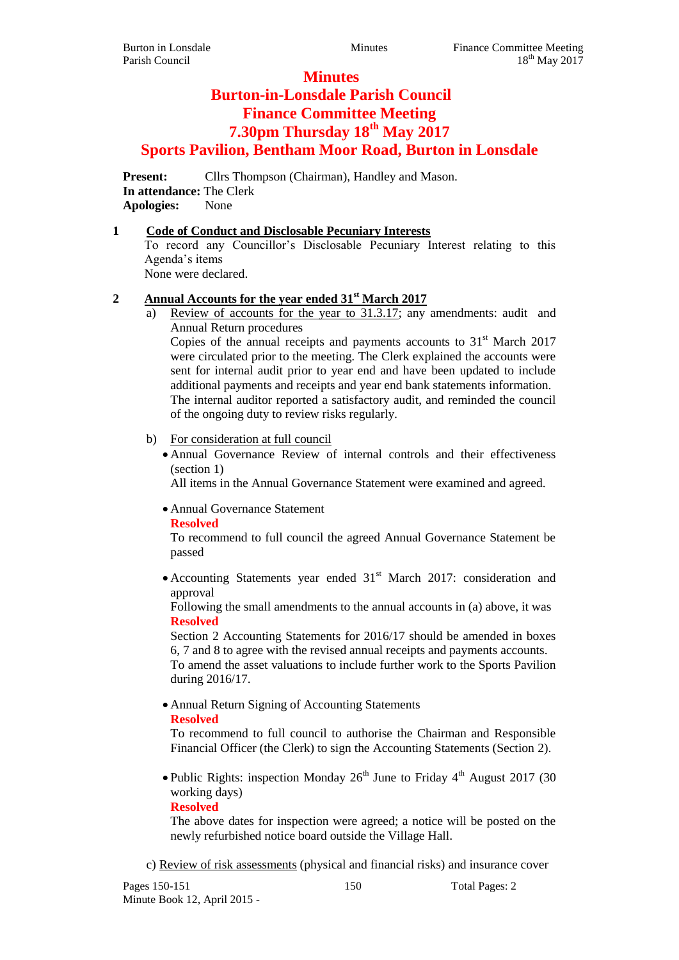# **Minutes**

# **Burton-in-Lonsdale Parish Council Finance Committee Meeting 7.30pm Thursday 18th May 2017 Sports Pavilion, Bentham Moor Road, Burton in Lonsdale**

**Present:** Cllrs Thompson (Chairman), Handley and Mason. **In attendance:** The Clerk **Apologies:** None

## **1 Code of Conduct and Disclosable Pecuniary Interests**

To record any Councillor's Disclosable Pecuniary Interest relating to this Agenda's items

None were declared.

# **2 Annual Accounts for the year ended 31st March 2017**

a) Review of accounts for the year to 31.3.17; any amendments: audit and Annual Return procedures

Copies of the annual receipts and payments accounts to  $31<sup>st</sup>$  March 2017 were circulated prior to the meeting. The Clerk explained the accounts were sent for internal audit prior to year end and have been updated to include additional payments and receipts and year end bank statements information. The internal auditor reported a satisfactory audit, and reminded the council of the ongoing duty to review risks regularly.

## b) For consideration at full council

 Annual Governance Review of internal controls and their effectiveness (section 1)

All items in the Annual Governance Statement were examined and agreed.

Annual Governance Statement

#### **Resolved**

To recommend to full council the agreed Annual Governance Statement be passed

• Accounting Statements year ended  $31<sup>st</sup>$  March 2017: consideration and approval

Following the small amendments to the annual accounts in (a) above, it was **Resolved**

Section 2 Accounting Statements for 2016/17 should be amended in boxes 6, 7 and 8 to agree with the revised annual receipts and payments accounts.

To amend the asset valuations to include further work to the Sports Pavilion during 2016/17.

Annual Return Signing of Accounting Statements

## **Resolved**

To recommend to full council to authorise the Chairman and Responsible Financial Officer (the Clerk) to sign the Accounting Statements (Section 2).

• Public Rights: inspection Monday  $26<sup>th</sup>$  June to Friday 4<sup>th</sup> August 2017 (30) working days)

**Resolved**

The above dates for inspection were agreed; a notice will be posted on the newly refurbished notice board outside the Village Hall.

c) Review of risk assessments (physical and financial risks) and insurance cover